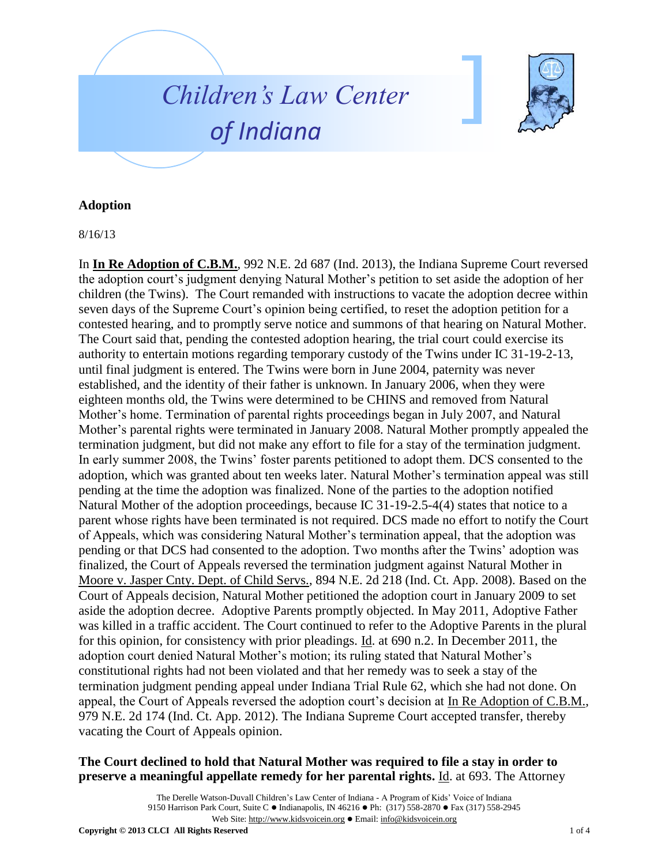



## **Adoption**

8/16/13

In **In Re Adoption of C.B.M.**, 992 N.E. 2d 687 (Ind. 2013), the Indiana Supreme Court reversed the adoption court's judgment denying Natural Mother's petition to set aside the adoption of her children (the Twins). The Court remanded with instructions to vacate the adoption decree within seven days of the Supreme Court's opinion being certified, to reset the adoption petition for a contested hearing, and to promptly serve notice and summons of that hearing on Natural Mother. The Court said that, pending the contested adoption hearing, the trial court could exercise its authority to entertain motions regarding temporary custody of the Twins under IC 31-19-2-13, until final judgment is entered. The Twins were born in June 2004, paternity was never established, and the identity of their father is unknown. In January 2006, when they were eighteen months old, the Twins were determined to be CHINS and removed from Natural Mother's home. Termination of parental rights proceedings began in July 2007, and Natural Mother's parental rights were terminated in January 2008. Natural Mother promptly appealed the termination judgment, but did not make any effort to file for a stay of the termination judgment. In early summer 2008, the Twins' foster parents petitioned to adopt them. DCS consented to the adoption, which was granted about ten weeks later. Natural Mother's termination appeal was still pending at the time the adoption was finalized. None of the parties to the adoption notified Natural Mother of the adoption proceedings, because IC 31-19-2.5-4(4) states that notice to a parent whose rights have been terminated is not required. DCS made no effort to notify the Court of Appeals, which was considering Natural Mother's termination appeal, that the adoption was pending or that DCS had consented to the adoption. Two months after the Twins' adoption was finalized, the Court of Appeals reversed the termination judgment against Natural Mother in Moore v. Jasper Cnty. Dept. of Child Servs., 894 N.E. 2d 218 (Ind. Ct. App. 2008). Based on the Court of Appeals decision, Natural Mother petitioned the adoption court in January 2009 to set aside the adoption decree. Adoptive Parents promptly objected. In May 2011, Adoptive Father was killed in a traffic accident. The Court continued to refer to the Adoptive Parents in the plural for this opinion, for consistency with prior pleadings. Id. at 690 n.2. In December 2011, the adoption court denied Natural Mother's motion; its ruling stated that Natural Mother's constitutional rights had not been violated and that her remedy was to seek a stay of the termination judgment pending appeal under Indiana Trial Rule 62, which she had not done. On appeal, the Court of Appeals reversed the adoption court's decision at In Re Adoption of C.B.M., 979 N.E. 2d 174 (Ind. Ct. App. 2012). The Indiana Supreme Court accepted transfer, thereby vacating the Court of Appeals opinion.

## **The Court declined to hold that Natural Mother was required to file a stay in order to preserve a meaningful appellate remedy for her parental rights.** Id. at 693. The Attorney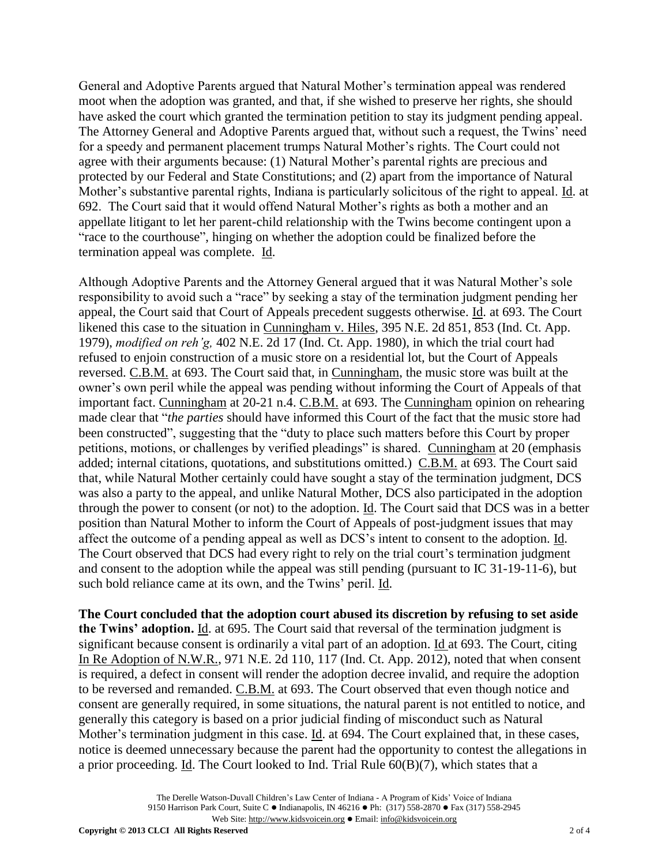General and Adoptive Parents argued that Natural Mother's termination appeal was rendered moot when the adoption was granted, and that, if she wished to preserve her rights, she should have asked the court which granted the termination petition to stay its judgment pending appeal. The Attorney General and Adoptive Parents argued that, without such a request, the Twins' need for a speedy and permanent placement trumps Natural Mother's rights. The Court could not agree with their arguments because: (1) Natural Mother's parental rights are precious and protected by our Federal and State Constitutions; and (2) apart from the importance of Natural Mother's substantive parental rights, Indiana is particularly solicitous of the right to appeal. Id. at 692. The Court said that it would offend Natural Mother's rights as both a mother and an appellate litigant to let her parent-child relationship with the Twins become contingent upon a "race to the courthouse", hinging on whether the adoption could be finalized before the termination appeal was complete. Id.

Although Adoptive Parents and the Attorney General argued that it was Natural Mother's sole responsibility to avoid such a "race" by seeking a stay of the termination judgment pending her appeal, the Court said that Court of Appeals precedent suggests otherwise. Id. at 693. The Court likened this case to the situation in Cunningham v. Hiles, 395 N.E. 2d 851, 853 (Ind. Ct. App. 1979), *modified on reh'g,* 402 N.E. 2d 17 (Ind. Ct. App. 1980), in which the trial court had refused to enjoin construction of a music store on a residential lot, but the Court of Appeals reversed. C.B.M. at 693. The Court said that, in Cunningham, the music store was built at the owner's own peril while the appeal was pending without informing the Court of Appeals of that important fact. Cunningham at 20-21 n.4. C.B.M. at 693. The Cunningham opinion on rehearing made clear that "*the parties* should have informed this Court of the fact that the music store had been constructed", suggesting that the "duty to place such matters before this Court by proper petitions, motions, or challenges by verified pleadings" is shared. Cunningham at 20 (emphasis added; internal citations, quotations, and substitutions omitted.) C.B.M. at 693. The Court said that, while Natural Mother certainly could have sought a stay of the termination judgment, DCS was also a party to the appeal, and unlike Natural Mother, DCS also participated in the adoption through the power to consent (or not) to the adoption. Id. The Court said that DCS was in a better position than Natural Mother to inform the Court of Appeals of post-judgment issues that may affect the outcome of a pending appeal as well as DCS's intent to consent to the adoption. Id. The Court observed that DCS had every right to rely on the trial court's termination judgment and consent to the adoption while the appeal was still pending (pursuant to IC 31-19-11-6), but such bold reliance came at its own, and the Twins' peril. Id.

**The Court concluded that the adoption court abused its discretion by refusing to set aside the Twins' adoption.** Id. at 695. The Court said that reversal of the termination judgment is significant because consent is ordinarily a vital part of an adoption. Id at 693. The Court, citing In Re Adoption of N.W.R., 971 N.E. 2d 110, 117 (Ind. Ct. App. 2012), noted that when consent is required, a defect in consent will render the adoption decree invalid, and require the adoption to be reversed and remanded. C.B.M. at 693. The Court observed that even though notice and consent are generally required, in some situations, the natural parent is not entitled to notice, and generally this category is based on a prior judicial finding of misconduct such as Natural Mother's termination judgment in this case. Id. at 694. The Court explained that, in these cases, notice is deemed unnecessary because the parent had the opportunity to contest the allegations in a prior proceeding. Id. The Court looked to Ind. Trial Rule 60(B)(7), which states that a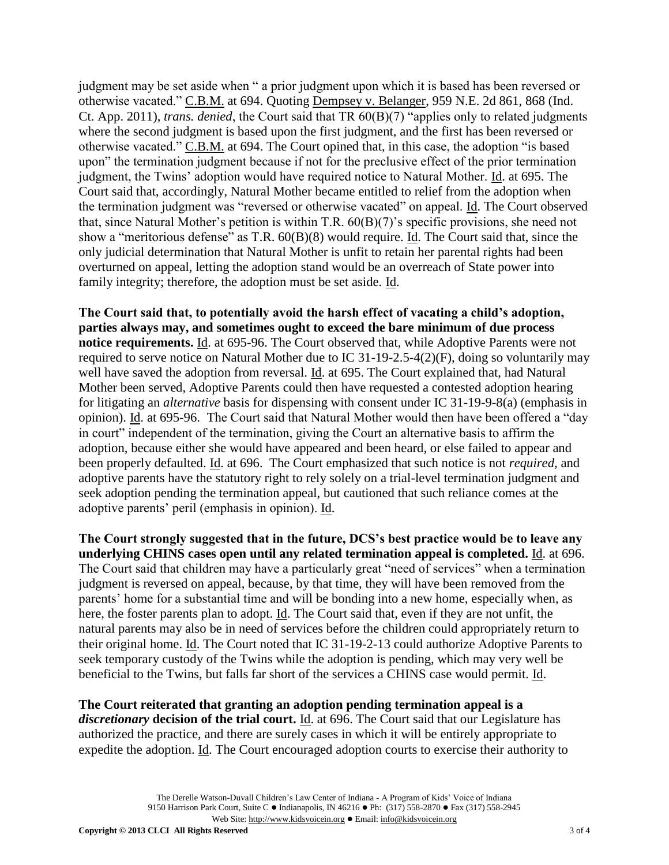judgment may be set aside when " a prior judgment upon which it is based has been reversed or otherwise vacated." C.B.M. at 694. Quoting Dempsey v. Belanger, 959 N.E. 2d 861, 868 (Ind. Ct. App. 2011), *trans. denied*, the Court said that TR 60(B)(7) "applies only to related judgments where the second judgment is based upon the first judgment, and the first has been reversed or otherwise vacated." C.B.M. at 694. The Court opined that, in this case, the adoption "is based upon" the termination judgment because if not for the preclusive effect of the prior termination judgment, the Twins' adoption would have required notice to Natural Mother. Id. at 695. The Court said that, accordingly, Natural Mother became entitled to relief from the adoption when the termination judgment was "reversed or otherwise vacated" on appeal. Id. The Court observed that, since Natural Mother's petition is within T.R. 60(B)(7)'s specific provisions, she need not show a "meritorious defense" as T.R. 60(B)(8) would require. Id. The Court said that, since the only judicial determination that Natural Mother is unfit to retain her parental rights had been overturned on appeal, letting the adoption stand would be an overreach of State power into family integrity; therefore, the adoption must be set aside. Id.

**The Court said that, to potentially avoid the harsh effect of vacating a child's adoption, parties always may, and sometimes ought to exceed the bare minimum of due process notice requirements.** Id. at 695-96. The Court observed that, while Adoptive Parents were not required to serve notice on Natural Mother due to IC 31-19-2.5-4(2)(F), doing so voluntarily may well have saved the adoption from reversal. Id. at 695. The Court explained that, had Natural Mother been served, Adoptive Parents could then have requested a contested adoption hearing for litigating an *alternative* basis for dispensing with consent under IC 31-19-9-8(a) (emphasis in opinion). Id. at 695-96. The Court said that Natural Mother would then have been offered a "day in court" independent of the termination, giving the Court an alternative basis to affirm the adoption, because either she would have appeared and been heard, or else failed to appear and been properly defaulted. Id. at 696. The Court emphasized that such notice is not *required,* and adoptive parents have the statutory right to rely solely on a trial-level termination judgment and seek adoption pending the termination appeal, but cautioned that such reliance comes at the adoptive parents' peril (emphasis in opinion). Id.

**The Court strongly suggested that in the future, DCS's best practice would be to leave any underlying CHINS cases open until any related termination appeal is completed.** Id. at 696. The Court said that children may have a particularly great "need of services" when a termination judgment is reversed on appeal, because, by that time, they will have been removed from the parents' home for a substantial time and will be bonding into a new home, especially when, as here, the foster parents plan to adopt. Id. The Court said that, even if they are not unfit, the natural parents may also be in need of services before the children could appropriately return to their original home. Id. The Court noted that IC 31-19-2-13 could authorize Adoptive Parents to seek temporary custody of the Twins while the adoption is pending, which may very well be beneficial to the Twins, but falls far short of the services a CHINS case would permit. Id.

**The Court reiterated that granting an adoption pending termination appeal is a**  *discretionary* **decision of the trial court.** Id. at 696. The Court said that our Legislature has authorized the practice, and there are surely cases in which it will be entirely appropriate to expedite the adoption. Id. The Court encouraged adoption courts to exercise their authority to